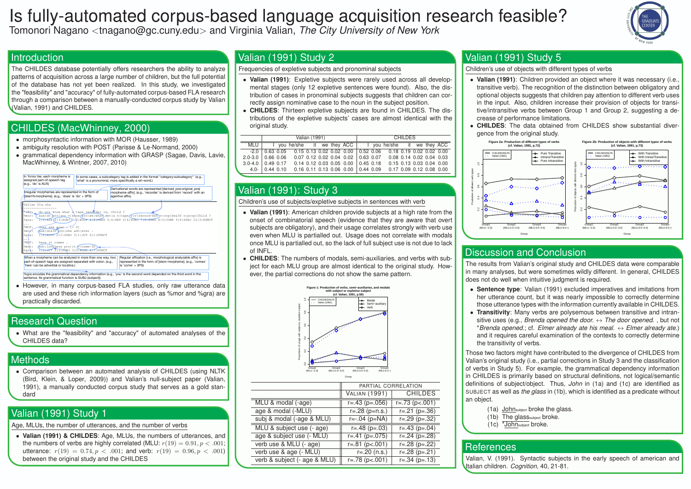# Is fully-automated corpus-based language acquisition research feasible? Tomonori Nagano <tnagano@gc.cuny.edu> and Virginia Valian, *The City University of New York*

### **Introduction**

(Valian, 1991) and CHILDES.

# CHILDES (MacWhinney, 2000)

- morphosyntactic information with MOR (Hausser, 1989)
- 



## **Research Question**

## **Methods**

## Valian (1991) Study 1

Age, MLUs, the number of utterances, and the number of verbs

### Valian (1991) Study 2

Frequencies of expletive subjects and pronominal subjects

- **Valian (1991)**: Expletive subjects were rarely used across all developmental stages (only 12 expletive sentences were found). Also, the distribution of cases in pronominal subjects suggests that children can correctly assign nominative case to the noun in the subject position.
- **CHILDES**: Thirteen expletive subjects are found in CHILDES. The distributions of the expletive subjects' cases are almost identical with the original study.

Those two factors might have contributed to the divergence of CHILDES from Valian's original study (i.e., partial corrections in Study 3 and the classification of verbs in Study 5). For example, the grammatical dependency information in CHILDES is primarily based on structural definitions, not logical/semantic definitions of subject/object. Thus, *John* in (1a) and (1c) are identified as SUBJECT as well as *the glass* in (1b), which is identified as a predicate without an object.

|             | <b>Valian (1991)</b>                                                             |                                      |  |  |  | <b>CHILDES</b>                       |  |  |                             |  |  |  |
|-------------|----------------------------------------------------------------------------------|--------------------------------------|--|--|--|--------------------------------------|--|--|-----------------------------|--|--|--|
| <b>MLU</b>  |                                                                                  | you he/she it we they ACC            |  |  |  |                                      |  |  | I you he/she it we they ACC |  |  |  |
| $-2.0$      | $\vert$ 0.63 0.05  0.15 0.13 0.02 0.02 0.00  0.52 0.06  0.18 0.19 0.02 0.02 0.00 |                                      |  |  |  |                                      |  |  |                             |  |  |  |
| $2.0 - 3.0$ | 0.66 0.06                                                                        | $0.07$ 0.12 0.02 0.04 0.02 0.63 0.07 |  |  |  |                                      |  |  | 0.08 0.14 0.02 0.04 0.03    |  |  |  |
| $3.0 - 4.0$ | 0.49 0.17                                                                        |                                      |  |  |  | $0.14$ 0.12 0.03 0.05 0.00 0.45 0.18 |  |  | 0.15 0.13 0.03 0.04 0.00    |  |  |  |
| $4.0 -$     | $0.44$ 0.10                                                                      | $0.16$ 0.11 0.13 0.06 0.00 0.44 0.09 |  |  |  |                                      |  |  | 0.17 0.09 0.12 0.08 0.00    |  |  |  |
|             |                                                                                  |                                      |  |  |  |                                      |  |  |                             |  |  |  |

### Valian (1991): Study 3

Children's use of subjects/expletive subjects in sentences with verb

- **Valian (1991)**: American children provide subjects at a high rate from the onset of combinatorial speech (evidence that they are aware that overt subjects are obligatory), and their usage correlates strongly with verb use even when MLU is partialled out. Usage does not correlate with modals once MLU is partialled out, so the lack of full subject use is not due to lack of INFL.
- **CHILDES**: The numbers of modals, semi-auxiliaries, and verbs with subject for each MLU group are almost identical to the original study. However, the partial corrections do not show the same pattern.



|                              | PARTIAL CORRELATION     |                         |  |
|------------------------------|-------------------------|-------------------------|--|
|                              | <b>VALIAN (1991)</b>    | <b>CHILDES</b>          |  |
| MLU & modal (-age)           | $r = .43$ (p=.056)      | $r=.73 (p<.001)$        |  |
| age & modal (-MLU)           | $r = .28$ (p=n.s.)      | $r=.21$ ( $p=.36$ )     |  |
| subj & modal (-age & MLU)    | $r=-.04$ ( $p=NA$ )     | $r=.29$ ( $p=.32$ )     |  |
| MLU & subject use (- age)    | $r = .48$ ( $p = .03$ ) | $r = .43$ ( $p = .04$ ) |  |
| age & subject use (- MLU)    | $r = .41$ (p=.075)      | $r=.24$ (p=.28)         |  |
| verb use & MLU (- age)       | $r=.81(p-.001)$         | $r=.28$ ( $p=.22$ )     |  |
| verb use & age (- MLU)       | $r = 20$ (n.s.)         | $r=.28$ ( $p=.21$ )     |  |
| verb & subject (- age & MLU) | $r=.78$ (p<.001)        | $r=.34$ (p=.13)         |  |
|                              |                         |                         |  |

### Valian (1991) Study 5

Children's use of objects with different types of verbs

• **Valian (1991)**: Children provided an object where it was necessary (i.e., transitive verb). The recognition of the distinction between obligatory and optional objects suggests that children pay attention to different verb uses in the input. Also, children increase their provision of objects for transitive/intransitive verbs between Group 1 and Group 2, suggesting a de-

- crease of performance limitations.
- gence from the original study.

• **CHILDES**: The data obtained from CHILDES show substantial diver-



# Discussion and Conclusion

The results from Valian's original study and CHILDES data were comparable in many analyses, but were sometimes wildly different. In general, CHILDES does not do well when intuitive judgment is required.

• **Sentence type**: Valian (1991) excluded imperatives and imitations from her utterance count, but it was nearly impossible to correctly determine those utterance types with the information currently available in CHILDES. • **Transitivity**: Many verbs are polysemous between transitive and intransitive uses (e.g., *Brenda opened the door.* ↔ *The door opened.* , but not \**Brenda opened.*; cf. *Elmer already ate his meal.* ↔ *Elmer already ate.*) and it requires careful examination of the contexts to correctly determine

- 
- the transitivity of verbs.

- (1a) Johnsubject broke the glass.
- (1b) The glasssubject broke.
- (1c) \*Johnsubject broke.

### **References**

Valian, V. (1991). Syntactic subjects in the early speech of american and Italian children. *Cognition*, 40, 21-81.